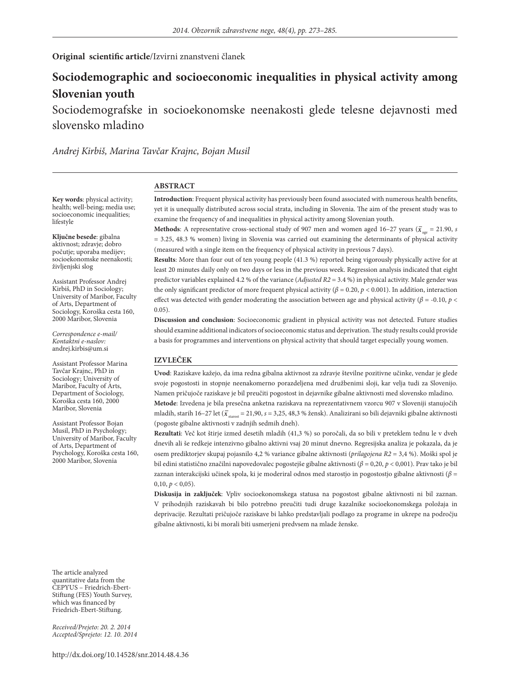#### **Original scientific article**/Izvirni znanstveni članek

# **Sociodemographic and socioeconomic inequalities in physical activity among Slovenian youth**

Sociodemografske in socioekonomske neenakosti glede telesne dejavnosti med slovensko mladino

*Andrej Kirbiš, Marina Tavčar Krajnc, Bojan Musil*

#### **ABSTRACT**

**Key words**: physical activity; health; well-being; media use; socioeconomic inequalities; lifestyle

**Ključne besede**: gibalna aktivnost; zdravje; dobro počutje; uporaba medijev; socioekonomske neenakosti; življenjski slog

Assistant Professor Andrej Kirbiš, PhD in Sociology; University of Maribor, Faculty of Arts, Department of Sociology, Koroška cesta 160, 2000 Maribor, Slovenia

*Correspondence e-mail/ Kontaktni e-naslov:* andrej.kirbis@um.si

Assistant Professor Marina Tavčar Krajnc, PhD in Sociology; University of Maribor, Faculty of Arts, Department of Sociology, Koroška cesta 160, 2000 Maribor, Slovenia

Assistant Professor Bojan Musil, PhD in Psychology; University of Maribor, Faculty of Arts, Department of Psychology, Koroška cesta 160, 2000 Maribor, Slovenia

**Introduction**: Frequent physical activity has previously been found associated with numerous health benefits, yet it is unequally distributed across social strata, including in Slovenia. The aim of the present study was to examine the frequency of and inequalities in physical activity among Slovenian youth.

**Methods**: A representative cross-sectional study of 907 men and women aged 16–27 years ( $\bar{x}_{\text{one}} = 21.90$ , *s* = 3.25, 48.3 % women) living in Slovenia was carried out examining the determinants of physical activity (measured with a single item on the frequency of physical activity in previous 7 days).

**Results**: More than four out of ten young people (41.3 %) reported being vigorously physically active for at least 20 minutes daily only on two days or less in the previous week. Regression analysis indicated that eight predictor variables explained 4.2 % of the variance (*Adjusted R2* = 3.4 %) in physical activity. Male gender was the only significant predictor of more frequent physical activity (*β* = 0.20, *p* < 0.001). In addition, interaction effect was detected with gender moderating the association between age and physical activity ( $\beta$  = -0.10, *p* < 0.05).

**Discussion and conclusion**: Socioeconomic gradient in physical activity was not detected. Future studies should examine additional indicators of socioeconomic status and deprivation. The study results could provide a basis for programmes and interventions on physical activity that should target especially young women.

#### **IZVLEČEK**

**Uvod**: Raziskave kažejo, da ima redna gibalna aktivnost za zdravje številne pozitivne učinke, vendar je glede svoje pogostosti in stopnje neenakomerno porazdeljena med družbenimi sloji, kar velja tudi za Slovenijo. Namen pričujoče raziskave je bil preučiti pogostost in dejavnike gibalne aktivnosti med slovensko mladino. **Metode**: Izvedena je bila presečna anketna raziskava na reprezentativnem vzorcu 907 v Sloveniji stanujočih mladih, starih 16–27 let ( $\bar{x}_{\text{start}}$  = 21,90, *s* = 3,25, 48,3 % žensk). Analizirani so bili dejavniki gibalne aktivnosti (pogoste gibalne aktivnosti v zadnjih sedmih dneh).

**Rezultati**: Več kot štirje izmed desetih mladih (41,3 %) so poročali, da so bili v preteklem tednu le v dveh dnevih ali še redkeje intenzivno gibalno aktivni vsaj 20 minut dnevno. Regresijska analiza je pokazala, da je osem prediktorjev skupaj pojasnilo 4,2 % variance gibalne aktivnosti (*prilagojena R2* = 3,4 %). Moški spol je bil edini statistično značilni napovedovalec pogostejše gibalne aktivnosti (*β* = 0,20, *p* < 0,001). Prav tako je bil zaznan interakcijski učinek spola, ki je moderiral odnos med starostjo in pogostostjo gibalne aktivnosti (*β* =  $0,10, p < 0,05$ ).

**Diskusija in zaključek**: Vpliv socioekonomskega statusa na pogostost gibalne aktivnosti ni bil zaznan. V prihodnjih raziskavah bi bilo potrebno preučiti tudi druge kazalnike socioekonomskega položaja in deprivacije. Rezultati pričujoče raziskave bi lahko predstavljali podlago za programe in ukrepe na področju gibalne aktivnosti, ki bi morali biti usmerjeni predvsem na mlade ženske.

The article analyzed quantitative data from the CEPYUS – Friedrich-Ebert-Stiftung (FES) Youth Survey, which was financed by Friedrich-Ebert-Stiftung.

*Received/Prejeto: 20. 2. 2014 Accepted/Sprejeto: 12. 10. 2014*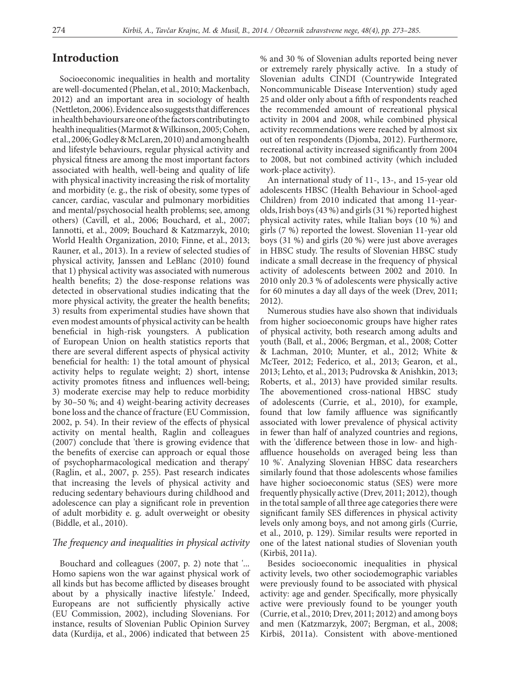### **Introduction**

Socioeconomic inequalities in health and mortality are well-documented (Phelan, et al., 2010; Mackenbach, 2012) and an important area in sociology of health (Nettleton, 2006). Evidence also suggests that differences in health behaviours are one of the factors contributing to health inequalities (Marmot & Wilkinson, 2005; Cohen, et al., 2006; Godley & McLaren, 2010) and among health and lifestyle behaviours, regular physical activity and physical fitness are among the most important factors associated with health, well-being and quality of life with physical inactivity increasing the risk of mortality and morbidity (e. g., the risk of obesity, some types of cancer, cardiac, vascular and pulmonary morbidities and mental/psychosocial health problems; see, among others) (Cavill, et al., 2006; Bouchard, et al., 2007; Iannotti, et al., 2009; Bouchard & Katzmarzyk, 2010; World Health Organization, 2010; Finne, et al., 2013; Rauner, et al., 2013). In a review of selected studies of physical activity, Janssen and LeBlanc (2010) found that 1) physical activity was associated with numerous health benefits; 2) the dose-response relations was detected in observational studies indicating that the more physical activity, the greater the health benefits; 3) results from experimental studies have shown that even modest amounts of physical activity can be health beneficial in high-risk youngsters. A publication of European Union on health statistics reports that there are several different aspects of physical activity beneficial for health: 1) the total amount of physical activity helps to regulate weight; 2) short, intense activity promotes fitness and influences well-being; 3) moderate exercise may help to reduce morbidity by 30–50 %; and 4) weight-bearing activity decreases bone loss and the chance of fracture (EU Commission, 2002, p. 54). In their review of the effects of physical activity on mental health, Raglin and colleagues (2007) conclude that 'there is growing evidence that the benefits of exercise can approach or equal those of psychopharmacological medication and therapy' (Raglin, et al., 2007, p. 255). Past research indicates that increasing the levels of physical activity and reducing sedentary behaviours during childhood and adolescence can play a significant role in prevention of adult morbidity e. g. adult overweight or obesity (Biddle, et al., 2010).

#### *The frequency and inequalities in physical activity*

Bouchard and colleagues (2007, p. 2) note that '... Homo sapiens won the war against physical work of all kinds but has become afflicted by diseases brought about by a physically inactive lifestyle.' Indeed, Europeans are not sufficiently physically active (EU Commission, 2002), including Slovenians. For instance, results of Slovenian Public Opinion Survey data (Kurdija, et al., 2006) indicated that between 25

% and 30 % of Slovenian adults reported being never or extremely rarely physically active. In a study of Slovenian adults CINDI (Countrywide Integrated Noncommunicable Disease Intervention) study aged 25 and older only about a fifth of respondents reached the recommended amount of recreational physical activity in 2004 and 2008, while combined physical activity recommendations were reached by almost six out of ten respondents (Djomba, 2012). Furthermore, recreational activity increased significantly from 2004 to 2008, but not combined activity (which included work-place activity).

An international study of 11-, 13-, and 15-year old adolescents HBSC (Health Behaviour in School-aged Children) from 2010 indicated that among 11-yearolds, Irish boys (43 %) and girls (31 %) reported highest physical activity rates, while Italian boys (10 %) and girls (7 %) reported the lowest. Slovenian 11-year old boys (31 %) and girls (20 %) were just above averages in HBSC study. The results of Slovenian HBSC study indicate a small decrease in the frequency of physical activity of adolescents between 2002 and 2010. In 2010 only 20.3 % of adolescents were physically active for 60 minutes a day all days of the week (Drev, 2011; 2012).

Numerous studies have also shown that individuals from higher socioeconomic groups have higher rates of physical activity, both research among adults and youth (Ball, et al., 2006; Bergman, et al., 2008; Cotter & Lachman, 2010; Munter, et al., 2012; White & McTeer, 2012; Federico, et al., 2013; Gearon, et al., 2013; Lehto, et al., 2013; Pudrovska & Anishkin, 2013; Roberts, et al., 2013) have provided similar results. The abovementioned cross-national HBSC study of adolescents (Currie, et al., 2010), for example, found that low family affluence was significantly associated with lower prevalence of physical activity in fewer than half of analyzed countries and regions, with the 'difference between those in low- and highaffluence households on averaged being less than 10 %'. Analyzing Slovenian HBSC data researchers similarly found that those adolescents whose families have higher socioeconomic status (SES) were more frequently physically active (Drev, 2011; 2012), though in the total sample of all three age categories there were significant family SES differences in physical activity levels only among boys, and not among girls (Currie, et al., 2010, p. 129). Similar results were reported in one of the latest national studies of Slovenian youth (Kirbiš, 2011a).

Besides socioeconomic inequalities in physical activity levels, two other sociodemographic variables were previously found to be associated with physical activity: age and gender. Specifically, more physically active were previously found to be younger youth (Currie, et al., 2010; Drev, 2011; 2012) and among boys and men (Katzmarzyk, 2007; Bergman, et al., 2008; Kirbiš, 2011a). Consistent with above-mentioned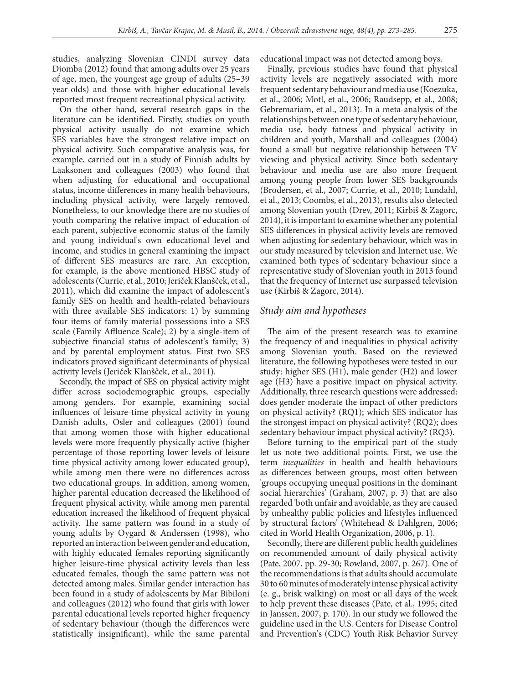studies, analyzing Slovenian CINDI survey data Djomba (2012) found that among adults over 25 years of age, men, the youngest age group of adults (25–39 year-olds) and those with higher educational levels reported most frequent recreational physical activity.

On the other hand, several research gaps in the literature can be identified. Firstly, studies on youth physical activity usually do not examine which SES variables have the strongest relative impact on physical activity. Such comparative analysis was, for example, carried out in a study of Finnish adults by Laaksonen and colleagues (2003) who found that when adjusting for educational and occupational status, income differences in many health behaviours, including physical activity, were largely removed. Nonetheless, to our knowledge there are no studies of youth comparing the relative impact of education of each parent, subjective economic status of the family and young individual's own educational level and income, and studies in general examining the impact of different SES measures are rare. An exception, for example, is the above mentioned HBSC study of adolescents (Currie, et al., 2010; Jeriček Klanšček, et al., 2011), which did examine the impact of adolescent's family SES on health and health-related behaviours with three available SES indicators: 1) by summing four items of family material possessions into a SES scale (Family Affluence Scale); 2) by a single-item of subjective financial status of adolescent's family; 3) and by parental employment status. First two SES indicators proved significant determinants of physical activity levels (Jeriček Klanšček, et al., 2011).

Secondly, the impact of SES on physical activity might differ across sociodemographic groups, especially among genders. For example, examining social influences of leisure-time physical activity in young Danish adults, Osler and colleagues (2001) found that among women those with higher educational levels were more frequently physically active (higher percentage of those reporting lower levels of leisure time physical activity among lower-educated group), while among men there were no differences across two educational groups. In addition, among women, higher parental education decreased the likelihood of frequent physical activity, while among men parental education increased the likelihood of frequent physical activity. The same pattern was found in a study of young adults by Oygard & Anderssen (1998), who reported an interaction between gender and education, with highly educated females reporting significantly higher leisure-time physical activity levels than less educated females, though the same pattern was not detected among males. Similar gender interaction has been found in a study of adolescents by Mar Bibiloni and colleagues (2012) who found that girls with lower parental educational levels reported higher frequency of sedentary behaviour (though the differences were statistically insignificant), while the same parental educational impact was not detected among boys.

Finally, previous studies have found that physical activity levels are negatively associated with more frequent sedentary behaviour and media use (Koezuka, et al., 2006; Motl, et al., 2006; Raudsepp, et al., 2008; Gebremariam, et al., 2013). In a meta-analysis of the relationships between one type of sedentary behaviour, media use, body fatness and physical activity in children and youth, Marshall and colleagues (2004) found a small but negative relationship between TV viewing and physical activity. Since both sedentary behaviour and media use are also more frequent among young people from lower SES backgrounds (Brodersen, et al., 2007; Currie, et al., 2010; Lundahl, et al., 2013; Coombs, et al., 2013), results also detected among Slovenian youth (Drev, 2011; Kirbiš & Zagorc, 2014), it is important to examine whether any potential SES differences in physical activity levels are removed when adjusting for sedentary behaviour, which was in our study measured by television and Internet use. We examined both types of sedentary behaviour since a representative study of Slovenian youth in 2013 found that the frequency of Internet use surpassed television use (Kirbiš & Zagorc, 2014).

#### *Study aim and hypotheses*

The aim of the present research was to examine the frequency of and inequalities in physical activity among Slovenian youth. Based on the reviewed literature, the following hypotheses were tested in our study: higher SES (H1), male gender (H2) and lower age (H3) have a positive impact on physical activity. Additionally, three research questions were addressed: does gender moderate the impact of other predictors on physical activity? (RQ1); which SES indicator has the strongest impact on physical activity? (RQ2); does sedentary behaviour impact physical activity? (RQ3).

Before turning to the empirical part of the study let us note two additional points. First, we use the term *inequalities* in health and health behaviours as differences between groups, most often between 'groups occupying unequal positions in the dominant social hierarchies' (Graham, 2007, p. 3) that are also regarded 'both unfair and avoidable, as they are caused by unhealthy public policies and lifestyles influenced by structural factors' (Whitehead & Dahlgren, 2006; cited in World Health Organization, 2006, p. 1).

Secondly, there are different public health guidelines on recommended amount of daily physical activity (Pate, 2007, pp. 29-30; Rowland, 2007, p. 267). One of the recommendations is that adults should accumulate 30 to 60 minutes of moderately intense physical activity (e. g., brisk walking) on most or all days of the week to help prevent these diseases (Pate, et al., 1995; cited in Janssen, 2007, p. 170). In our study we followed the guideline used in the U.S. Centers for Disease Control and Prevention's (CDC) Youth Risk Behavior Survey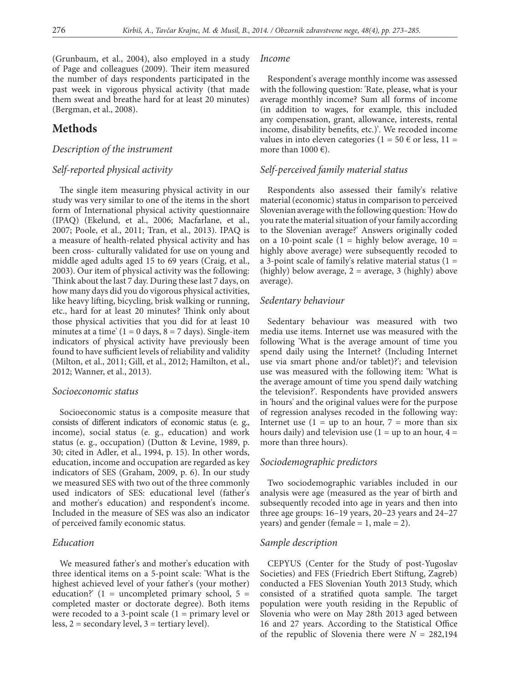(Grunbaum, et al., 2004), also employed in a study of Page and colleagues (2009). Their item measured the number of days respondents participated in the past week in vigorous physical activity (that made them sweat and breathe hard for at least 20 minutes) (Bergman, et al., 2008).

# **Methods**

#### *Description of the instrument*

#### *Self-reported physical activity*

The single item measuring physical activity in our study was very similar to one of the items in the short form of International physical activity questionnaire (IPAQ) (Ekelund, et al., 2006; Macfarlane, et al., 2007; Poole, et al., 2011; Tran, et al., 2013). IPAQ is a measure of health-related physical activity and has been cross- culturally validated for use on young and middle aged adults aged 15 to 69 years (Craig, et al., 2003). Our item of physical activity was the following: 'Think about the last 7 day. During these last 7 days, on how many days did you do vigorous physical activities, like heavy lifting, bicycling, brisk walking or running, etc., hard for at least 20 minutes? Think only about those physical activities that you did for at least 10 minutes at a time'  $(1 = 0$  days,  $8 = 7$  days). Single-item indicators of physical activity have previously been found to have sufficient levels of reliability and validity (Milton, et al., 2011; Gill, et al., 2012; Hamilton, et al., 2012; Wanner, et al., 2013).

#### *Socioeconomic status*

Socioeconomic status is a composite measure that consists of different indicators of economic status (e. g., income), social status (e. g., education) and work status (e. g., occupation) (Dutton & Levine, 1989, p. 30; cited in Adler, et al., 1994, p. 15). In other words, education, income and occupation are regarded as key indicators of SES (Graham, 2009, p. 6). In our study we measured SES with two out of the three commonly used indicators of SES: educational level (father's and mother's education) and respondent's income. Included in the measure of SES was also an indicator of perceived family economic status.

#### *Education*

We measured father's and mother's education with three identical items on a 5-point scale: 'What is the highest achieved level of your father's (your mother) education?'  $(1 = uncompleted primary school, 5 =$ completed master or doctorate degree). Both items were recoded to a 3-point scale (1 = primary level or less,  $2 =$  secondary level,  $3 =$  tertiary level).

#### *Income*

Respondent's average monthly income was assessed with the following question: 'Rate, please, what is your average monthly income? Sum all forms of income (in addition to wages, for example, this included any compensation, grant, allowance, interests, rental income, disability benefits, etc.)'. We recoded income values in into eleven categories ( $1 = 50 \text{ } \infty$  or less,  $11 =$ more than  $1000 \in$ ).

#### *Self-perceived family material status*

Respondents also assessed their family's relative material (economic) status in comparison to perceived Slovenian average with the following question: 'How do you rate the material situation of your family according to the Slovenian average?' Answers originally coded on a 10-point scale  $(1 - \text{highly below average}, 10 - \text{highly below})$ highly above average) were subsequently recoded to a 3-point scale of family's relative material status  $(1 =$ (highly) below average,  $2 =$  average, 3 (highly) above average).

#### *Sedentary behaviour*

Sedentary behaviour was measured with two media use items. Internet use was measured with the following 'What is the average amount of time you spend daily using the Internet? (Including Internet use via smart phone and/or tablet)?'; and television use was measured with the following item: 'What is the average amount of time you spend daily watching the television?'. Respondents have provided answers in 'hours' and the original values were for the purpose of regression analyses recoded in the following way: Internet use  $(1 = up to an hour, 7 = more than six)$ hours daily) and television use  $(1 = \text{up to an hour}, 4 =$ more than three hours).

#### *Sociodemographic predictors*

Two sociodemographic variables included in our analysis were age (measured as the year of birth and subsequently recoded into age in years and then into three age groups: 16–19 years, 20–23 years and 24–27 years) and gender (female  $= 1$ , male  $= 2$ ).

### *Sample description*

CEPYUS (Center for the Study of post-Yugoslav Societies) and FES (Friedrich Ebert Stiftung, Zagreb) conducted a FES Slovenian Youth 2013 Study, which consisted of a stratified quota sample. The target population were youth residing in the Republic of Slovenia who were on May 28th 2013 aged between 16 and 27 years. According to the Statistical Office of the republic of Slovenia there were  $N = 282,194$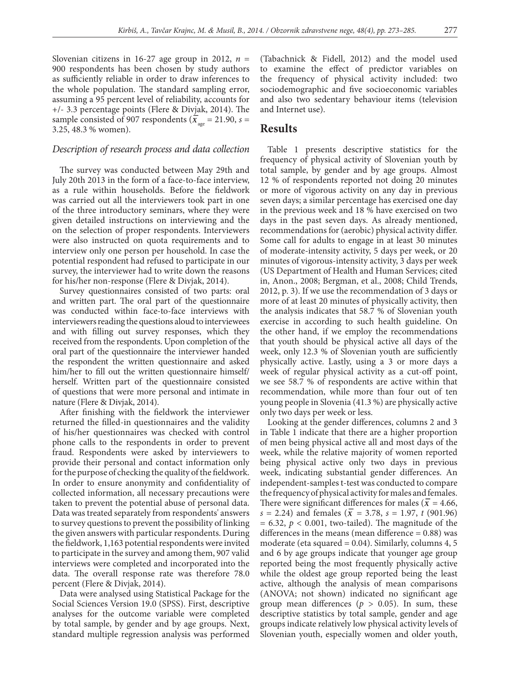Slovenian citizens in 16-27 age group in 2012,  $n =$ 900 respondents has been chosen by study authors as sufficiently reliable in order to draw inferences to the whole population. The standard sampling error, assuming a 95 percent level of reliability, accounts for +/- 3.3 percentage points (Flere & Divjak, 2014). The sample consisted of 907 respondents ( $\bar{x}_{\text{age}} = 21.90$ ,  $s =$ 3.25, 48.3 % women).

#### *Description of research process and data collection*

The survey was conducted between May 29th and July 20th 2013 in the form of a face-to-face interview, as a rule within households. Before the fieldwork was carried out all the interviewers took part in one of the three introductory seminars, where they were given detailed instructions on interviewing and the on the selection of proper respondents. Interviewers were also instructed on quota requirements and to interview only one person per household. In case the potential respondent had refused to participate in our survey, the interviewer had to write down the reasons for his/her non-response (Flere & Divjak, 2014).

Survey questionnaires consisted of two parts: oral and written part. The oral part of the questionnaire was conducted within face-to-face interviews with interviewers reading the questions aloud to interviewees and with filling out survey responses, which they received from the respondents. Upon completion of the oral part of the questionnaire the interviewer handed the respondent the written questionnaire and asked him/her to fill out the written questionnaire himself/ herself. Written part of the questionnaire consisted of questions that were more personal and intimate in nature (Flere & Divjak, 2014).

After finishing with the fieldwork the interviewer returned the filled-in questionnaires and the validity of his/her questionnaires was checked with control phone calls to the respondents in order to prevent fraud. Respondents were asked by interviewers to provide their personal and contact information only for the purpose of checking the quality of the fieldwork. In order to ensure anonymity and confidentiality of collected information, all necessary precautions were taken to prevent the potential abuse of personal data. Data was treated separately from respondents' answers to survey questions to prevent the possibility of linking the given answers with particular respondents. During the fieldwork, 1,163 potential respondents were invited to participate in the survey and among them, 907 valid interviews were completed and incorporated into the data. The overall response rate was therefore 78.0 percent (Flere & Divjak, 2014).

Data were analysed using Statistical Package for the Social Sciences Version 19.0 (SPSS). First, descriptive analyses for the outcome variable were completed by total sample, by gender and by age groups. Next, standard multiple regression analysis was performed (Tabachnick & Fidell, 2012) and the model used to examine the effect of predictor variables on the frequency of physical activity included: two sociodemographic and five socioeconomic variables and also two sedentary behaviour items (television and Internet use).

### **Results**

Table 1 presents descriptive statistics for the frequency of physical activity of Slovenian youth by total sample, by gender and by age groups. Almost 12 % of respondents reported not doing 20 minutes or more of vigorous activity on any day in previous seven days; a similar percentage has exercised one day in the previous week and 18 % have exercised on two days in the past seven days. As already mentioned, recommendations for (aerobic) physical activity differ. Some call for adults to engage in at least 30 minutes of moderate-intensity activity, 5 days per week, or 20 minutes of vigorous-intensity activity, 3 days per week (US Department of Health and Human Services; cited in, Anon., 2008; Bergman, et al., 2008; Child Trends, 2012, p. 3). If we use the recommendation of 3 days or more of at least 20 minutes of physically activity, then the analysis indicates that 58.7 % of Slovenian youth exercise in according to such health guideline. On the other hand, if we employ the recommendations that youth should be physical active all days of the week, only 12.3 % of Slovenian youth are sufficiently physically active. Lastly, using a 3 or more days a week of regular physical activity as a cut-off point, we see 58.7 % of respondents are active within that recommendation, while more than four out of ten young people in Slovenia (41.3 %) are physically active only two days per week or less.

Looking at the gender differences, columns 2 and 3 in Table 1 indicate that there are a higher proportion of men being physical active all and most days of the week, while the relative majority of women reported being physical active only two days in previous week, indicating substantial gender differences. An independent-samples t-test was conducted to compare the frequency of physical activity for males and females. There were significant differences for males ( $\bar{x}$  = 4.66,  $s = 2.24$ ) and females ( $\overline{x} = 3.78$ ,  $s = 1.97$ , *t* (901.96)  $= 6.32, p < 0.001$ , two-tailed). The magnitude of the differences in the means (mean difference  $= 0.88$ ) was moderate (eta squared  $= 0.04$ ). Similarly, columns 4, 5 and 6 by age groups indicate that younger age group reported being the most frequently physically active while the oldest age group reported being the least active, although the analysis of mean comparisons (ANOVA; not shown) indicated no significant age group mean differences ( $p > 0.05$ ). In sum, these descriptive statistics by total sample, gender and age groups indicate relatively low physical activity levels of Slovenian youth, especially women and older youth,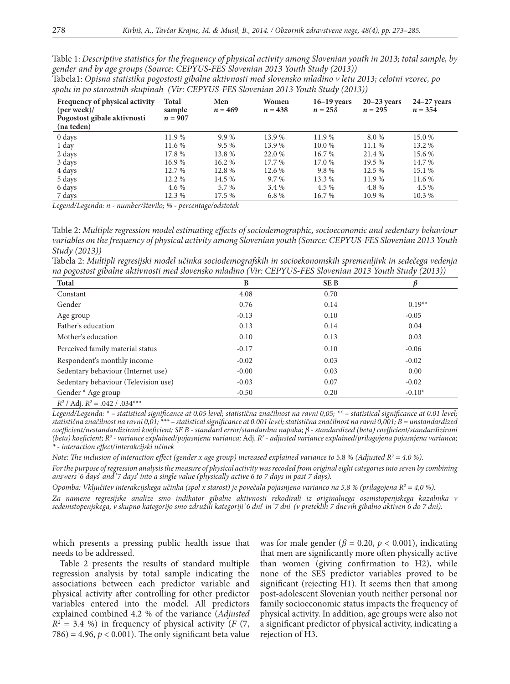Table 1: *Descriptive statistics for the frequency of physical activity among Slovenian youth in 2013; total sample, by gender and by age groups (Source: CEPYUS-FES Slovenian 2013 Youth Study (2013))*

| Frequency of physical activity<br>$(\text{per week})$ /<br>Pogostost gibale aktivnosti<br>(na teden) | Total<br>sample<br>$n = 907$ | Men<br>$n = 469$ | Women<br>$n = 438$ | $16-19$ years<br>$n = 258$ | $20-23$ years<br>$n = 295$ | $24-27$ years<br>$n = 354$ |
|------------------------------------------------------------------------------------------------------|------------------------------|------------------|--------------------|----------------------------|----------------------------|----------------------------|
| 0 days                                                                                               | 11.9 %                       | $9.9\%$          | 13.9 %             | 11.9 %                     | 8.0 %                      | 15.0 %                     |
| 1 day                                                                                                | 11.6 %                       | $9.5\%$          | 13.9 %             | 10.0 %                     | 11.1%                      | 13.2 %                     |
| 2 days                                                                                               | 17.8 %                       | 13.8 %           | 22.0 %             | 16.7 %                     | 21.4 %                     | 15.6 %                     |
| 3 days                                                                                               | 16.9%                        | 16.2 %           | 17.7 %             | 17.0 %                     | 19.5 %                     | 14.7 %                     |
| 4 days                                                                                               | 12.7 %                       | 12.8 %           | 12.6 %             | 9.8%                       | 12.5 %                     | 15.1 %                     |
| 5 days                                                                                               | 12.2 %                       | 14.5 %           | $9.7\%$            | 13.3 %                     | 11.9 %                     | 11.6 %                     |
| 6 days                                                                                               | 4.6 %                        | 5.7 %            | 3.4 %              | 4.5 %                      | 4.8%                       | 4.5 %                      |
| 7 days                                                                                               | 12.3 %                       | 17.5 %           | 6.8%               | 16.7 %                     | 10.9 %                     | 10.3 %                     |

Tabela1: *Opisna statistika pogostosti gibalne aktivnosti med slovensko mladino v letu 2013; celotni vzorec, po spolu in po starostnih skupinah (Vir: CEPYUS-FES Slovenian 2013 Youth Study (2013))*

*Legend/Legenda: n - number/število; % - percentage/odstotek*

Table 2: *Multiple regression model estimating effects of sociodemographic, socioeconomic and sedentary behaviour variables on the frequency of physical activity among Slovenian youth (Source: CEPYUS-FES Slovenian 2013 Youth Study (2013))*

Tabela 2: *Multipli regresijski model učinka sociodemografskih in socioekonomskih spremenljivk in sedečega vedenja na pogostost gibalne aktivnosti med slovensko mladino (Vir: CEPYUS-FES Slovenian 2013 Youth Study (2013))*

| <b>Total</b>                         | B       | <b>SEB</b> |          |
|--------------------------------------|---------|------------|----------|
| Constant                             | 4.08    | 0.70       |          |
| Gender                               | 0.76    | 0.14       | $0.19**$ |
| Age group                            | $-0.13$ | 0.10       | $-0.05$  |
| Father's education                   | 0.13    | 0.14       | 0.04     |
| Mother's education                   | 0.10    | 0.13       | 0.03     |
| Perceived family material status     | $-0.17$ | 0.10       | $-0.06$  |
| Respondent's monthly income          | $-0.02$ | 0.03       | $-0.02$  |
| Sedentary behaviour (Internet use)   | $-0.00$ | 0.03       | 0.00     |
| Sedentary behaviour (Television use) | $-0.03$ | 0.07       | $-0.02$  |
| Gender * Age group                   | $-0.50$ | 0.20       | $-0.10*$ |
| 12141:122.0421.02444                 |         |            |          |

 $R^2$  / Adj.  $R^2 = .042$  /  $.034***$ 

*Legend/Legenda: \* – statistical significance at 0.05 level; statistična značilnost na ravni 0,05; \*\* – statistical significance at 0.01 level; statistična značilnost na ravni 0,01; \*\*\* – statistical significance at 0.001 level; statistična značilnost na ravni 0,001; B = unstandardized coefficient/nestandardizirani koeficient; SE B - standard error/standardna napaka; β - standardized (beta) coefficient/standardizirani (beta) koeficient; R2 - variance explained/pojasnjena varianca;* Adj. *R2 - adjusted variance explained/prilagojena pojasnjena varianca; \* - interaction effect/interakcijski učinek*

*Note: The inclusion of interaction effect (gender x age group) increased explained variance to* 5.8 % *(Adjusted R2 = 4.0 %).*

*For the purpose of regression analysis the measure of physical activity was recoded from original eight categories into seven by combining answers* '*6 days*' *and* '7 *days*' *into a single value (physically active 6 to 7 days in past 7 days).*

*Opomba: Vključitev interakcijskega učinka (spol x starost) je povečala pojasnjeno varianco na 5,8 % (prilagojena R2 = 4,0 %).*

*Za namene regresijske analize smo indikator gibalne aktivnosti rekodirali iz originalnega osemstopenjskega kazalnika v sedemstopenjskega, v skupno kategorijo smo združili kategoriji* '*6 dni*' *in* '*7 dni*' *(v preteklih 7 dnevih gibalno aktiven 6 do 7 dni).*

which presents a pressing public health issue that needs to be addressed.

Table 2 presents the results of standard multiple regression analysis by total sample indicating the associations between each predictor variable and physical activity after controlling for other predictor variables entered into the model. All predictors explained combined 4.2 % of the variance (*Adjusted*   $R^2 = 3.4$  %) in frequency of physical activity (*F* (7,  $786$ ) = 4.96,  $p < 0.001$ ). The only significant beta value

was for male gender ( $\beta$  = 0.20,  $p$  < 0.001), indicating that men are significantly more often physically active than women (giving confirmation to H2), while none of the SES predictor variables proved to be significant (rejecting H1). It seems then that among post-adolescent Slovenian youth neither personal nor family socioeconomic status impacts the frequency of physical activity. In addition, age groups were also not a significant predictor of physical activity, indicating a rejection of H3.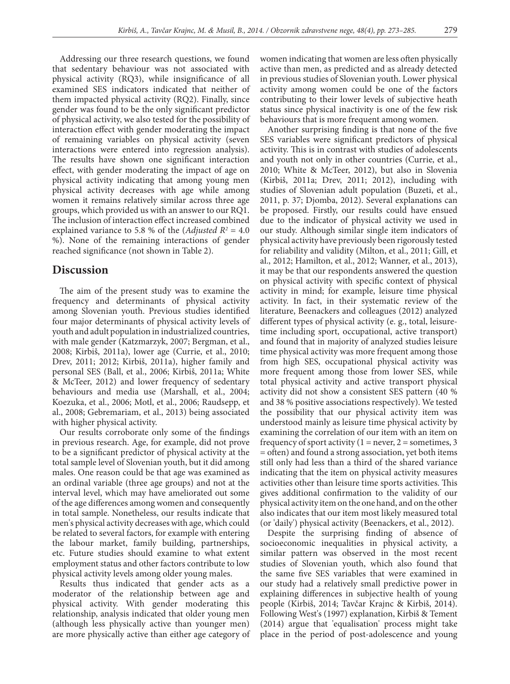Addressing our three research questions, we found that sedentary behaviour was not associated with physical activity (RQ3), while insignificance of all examined SES indicators indicated that neither of them impacted physical activity (RQ2). Finally, since gender was found to be the only significant predictor of physical activity, we also tested for the possibility of interaction effect with gender moderating the impact of remaining variables on physical activity (seven interactions were entered into regression analysis). The results have shown one significant interaction effect, with gender moderating the impact of age on physical activity indicating that among young men physical activity decreases with age while among women it remains relatively similar across three age groups, which provided us with an answer to our RQ1. The inclusion of interaction effect increased combined explained variance to 5.8 % of the  $(\textit{adjusted } R^2 = 4.0)$ %). None of the remaining interactions of gender reached significance (not shown in Table 2).

### **Discussion**

The aim of the present study was to examine the frequency and determinants of physical activity among Slovenian youth. Previous studies identified four major determinants of physical activity levels of youth and adult population in industrialized countries, with male gender (Katzmarzyk, 2007; Bergman, et al., 2008; Kirbiš, 2011a), lower age (Currie, et al., 2010; Drev, 2011; 2012; Kirbiš, 2011a), higher family and personal SES (Ball, et al., 2006; Kirbiš, 2011a; White & McTeer, 2012) and lower frequency of sedentary behaviours and media use (Marshall, et al., 2004; Koezuka, et al., 2006; Motl, et al., 2006; Raudsepp, et al., 2008; Gebremariam, et al., 2013) being associated with higher physical activity.

Our results corroborate only some of the findings in previous research. Age, for example, did not prove to be a significant predictor of physical activity at the total sample level of Slovenian youth, but it did among males. One reason could be that age was examined as an ordinal variable (three age groups) and not at the interval level, which may have ameliorated out some of the age differences among women and consequently in total sample. Nonetheless, our results indicate that men's physical activity decreases with age, which could be related to several factors, for example with entering the labour market, family building, partnerships, etc. Future studies should examine to what extent employment status and other factors contribute to low physical activity levels among older young males.

Results thus indicated that gender acts as a moderator of the relationship between age and physical activity. With gender moderating this relationship, analysis indicated that older young men (although less physically active than younger men) are more physically active than either age category of women indicating that women are less often physically active than men, as predicted and as already detected in previous studies of Slovenian youth. Lower physical activity among women could be one of the factors contributing to their lower levels of subjective heath status since physical inactivity is one of the few risk behaviours that is more frequent among women.

Another surprising finding is that none of the five SES variables were significant predictors of physical activity. This is in contrast with studies of adolescents and youth not only in other countries (Currie, et al., 2010; White & McTeer, 2012), but also in Slovenia (Kirbiš, 2011a; Drev, 2011; 2012), including with studies of Slovenian adult population (Buzeti, et al., 2011, p. 37; Djomba, 2012). Several explanations can be proposed. Firstly, our results could have ensued due to the indicator of physical activity we used in our study. Although similar single item indicators of physical activity have previously been rigorously tested for reliability and validity (Milton, et al., 2011; Gill, et al., 2012; Hamilton, et al., 2012; Wanner, et al., 2013), it may be that our respondents answered the question on physical activity with specific context of physical activity in mind; for example, leisure time physical activity. In fact, in their systematic review of the literature, Beenackers and colleagues (2012) analyzed different types of physical activity (e. g., total, leisuretime including sport, occupational, active transport) and found that in majority of analyzed studies leisure time physical activity was more frequent among those from high SES, occupational physical activity was more frequent among those from lower SES, while total physical activity and active transport physical activity did not show a consistent SES pattern (40 % and 38 % positive associations respectively). We tested the possibility that our physical activity item was understood mainly as leisure time physical activity by examining the correlation of our item with an item on frequency of sport activity  $(1 = never, 2 = sometimes, 3)$ = often) and found a strong association, yet both items still only had less than a third of the shared variance indicating that the item on physical activity measures activities other than leisure time sports activities. This gives additional confirmation to the validity of our physical activity item on the one hand, and on the other also indicates that our item most likely measured total (or 'daily') physical activity (Beenackers, et al., 2012).

Despite the surprising finding of absence of socioeconomic inequalities in physical activity, a similar pattern was observed in the most recent studies of Slovenian youth, which also found that the same five SES variables that were examined in our study had a relatively small predictive power in explaining differences in subjective health of young people (Kirbiš, 2014; Tavčar Krajnc & Kirbiš, 2014). Following West's (1997) explanation, Kirbiš & Tement (2014) argue that 'equalisation' process might take place in the period of post-adolescence and young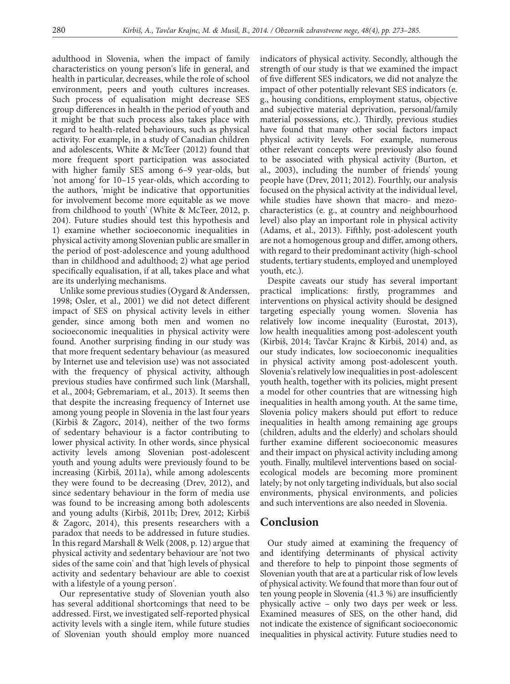adulthood in Slovenia, when the impact of family characteristics on young person's life in general, and health in particular, decreases, while the role of school environment, peers and youth cultures increases. Such process of equalisation might decrease SES group differences in health in the period of youth and it might be that such process also takes place with regard to health-related behaviours, such as physical activity. For example, in a study of Canadian children and adolescents, White & McTeer (2012) found that more frequent sport participation was associated with higher family SES among 6–9 year-olds, but 'not among' for 10–15 year-olds, which according to the authors, 'might be indicative that opportunities for involvement become more equitable as we move from childhood to youth' (White & McTeer, 2012, p. 204). Future studies should test this hypothesis and 1) examine whether socioeconomic inequalities in physical activity among Slovenian public are smaller in the period of post-adolescence and young adulthood than in childhood and adulthood; 2) what age period specifically equalisation, if at all, takes place and what are its underlying mechanisms.

Unlike some previous studies (Oygard & Anderssen, 1998; Osler, et al., 2001) we did not detect different impact of SES on physical activity levels in either gender, since among both men and women no socioeconomic inequalities in physical activity were found. Another surprising finding in our study was that more frequent sedentary behaviour (as measured by Internet use and television use) was not associated with the frequency of physical activity, although previous studies have confirmed such link (Marshall, et al., 2004; Gebremariam, et al., 2013). It seems then that despite the increasing frequency of Internet use among young people in Slovenia in the last four years (Kirbiš & Zagorc, 2014), neither of the two forms of sedentary behaviour is a factor contributing to lower physical activity. In other words, since physical activity levels among Slovenian post-adolescent youth and young adults were previously found to be increasing (Kirbiš, 2011a), while among adolescents they were found to be decreasing (Drev, 2012), and since sedentary behaviour in the form of media use was found to be increasing among both adolescents and young adults (Kirbiš, 2011b; Drev, 2012; Kirbiš & Zagorc, 2014), this presents researchers with a paradox that needs to be addressed in future studies. In this regard Marshall & Welk (2008, p. 12) argue that physical activity and sedentary behaviour are 'not two sides of the same coin' and that 'high levels of physical activity and sedentary behaviour are able to coexist with a lifestyle of a young person'.

Our representative study of Slovenian youth also has several additional shortcomings that need to be addressed. First, we investigated self-reported physical activity levels with a single item, while future studies of Slovenian youth should employ more nuanced indicators of physical activity. Secondly, although the strength of our study is that we examined the impact of five different SES indicators, we did not analyze the impact of other potentially relevant SES indicators (e. g., housing conditions, employment status, objective and subjective material deprivation, personal/family material possessions, etc.). Thirdly, previous studies have found that many other social factors impact physical activity levels. For example, numerous other relevant concepts were previously also found to be associated with physical activity (Burton, et al., 2003), including the number of friends' young people have (Drev, 2011; 2012). Fourthly, our analysis focused on the physical activity at the individual level, while studies have shown that macro- and mezocharacteristics (e. g., at country and neighbourhood level) also play an important role in physical activity (Adams, et al., 2013). Fifthly, post-adolescent youth are not a homogenous group and differ, among others, with regard to their predominant activity (high-school students, tertiary students, employed and unemployed youth, etc.).

Despite caveats our study has several important practical implications: firstly, programmes and interventions on physical activity should be designed targeting especially young women. Slovenia has relatively low income inequality (Eurostat, 2013), low health inequalities among post-adolescent youth (Kirbiš, 2014; Tavčar Krajnc & Kirbiš, 2014) and, as our study indicates, low socioeconomic inequalities in physical activity among post-adolescent youth. Slovenia's relatively low inequalities in post-adolescent youth health, together with its policies, might present a model for other countries that are witnessing high inequalities in health among youth. At the same time, Slovenia policy makers should put effort to reduce inequalities in health among remaining age groups (children, adults and the elderly) and scholars should further examine different socioeconomic measures and their impact on physical activity including among youth. Finally, multilevel interventions based on socialecological models are becoming more prominent lately; by not only targeting individuals, but also social environments, physical environments, and policies and such interventions are also needed in Slovenia.

## **Conclusion**

Our study aimed at examining the frequency of and identifying determinants of physical activity and therefore to help to pinpoint those segments of Slovenian youth that are at a particular risk of low levels of physical activity. We found that more than four out of ten young people in Slovenia (41.3 %) are insufficiently physically active – only two days per week or less. Examined measures of SES, on the other hand, did not indicate the existence of significant socioeconomic inequalities in physical activity. Future studies need to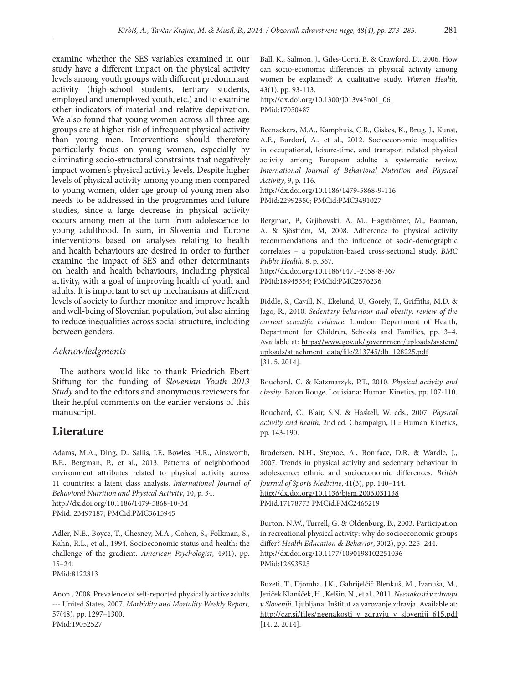examine whether the SES variables examined in our study have a different impact on the physical activity levels among youth groups with different predominant activity (high-school students, tertiary students, employed and unemployed youth, etc.) and to examine other indicators of material and relative deprivation. We also found that young women across all three age groups are at higher risk of infrequent physical activity than young men. Interventions should therefore particularly focus on young women, especially by eliminating socio-structural constraints that negatively impact women's physical activity levels. Despite higher levels of physical activity among young men compared to young women, older age group of young men also needs to be addressed in the programmes and future studies, since a large decrease in physical activity occurs among men at the turn from adolescence to young adulthood. In sum, in Slovenia and Europe interventions based on analyses relating to health and health behaviours are desired in order to further examine the impact of SES and other determinants on health and health behaviours, including physical activity, with a goal of improving health of youth and adults. It is important to set up mechanisms at different levels of society to further monitor and improve health and well-being of Slovenian population, but also aiming to reduce inequalities across social structure, including between genders.

### *Acknowledgments*

The authors would like to thank Friedrich Ebert Stiftung for the funding of *Slovenian Youth 2013 Study* and to the editors and anonymous reviewers for their helpful comments on the earlier versions of this manuscript.

## **Literature**

Adams, M.A., Ding, D., Sallis, J.F., Bowles, H.R., Ainsworth, B.E., Bergman, P., et al., 2013. Patterns of neighborhood environment attributes related to physical activity across 11 countries: a latent class analysis. *International Journal of Behavioral Nutrition and Physical Activity*, 10, p. 34. http://dx.doi.org/10.1186/1479-5868-10-34 PMid: 23497187; PMCid:PMC3615945

Adler, N.E., Boyce, T., Chesney, M.A., Cohen, S., Folkman, S., Kahn, R.L., et al., 1994. Socioeconomic status and health: the challenge of the gradient. *American Psychologist*, 49(1), pp. 15–24.

PMid:8122813

Anon., 2008. Prevalence of self-reported physically active adults --- United States, 2007. *Morbidity and Mortality Weekly Report*, 57(48), pp. 1297–1300. PMid:19052527

Ball, K., Salmon, J., Giles-Corti, B. & Crawford, D., 2006. How can socio-economic differences in physical activity among women be explained? A qualitative study. *Women Health,* 43(1), pp. 93-113.

http://dx.doi.org/10.1300/J013v43n01\_06 PMid:17050487

Beenackers, M.A., Kamphuis, C.B., Giskes, K., Brug, J., Kunst, A.E., Burdorf, A., et al., 2012. Socioeconomic inequalities in occupational, leisure-time, and transport related physical activity among European adults: a systematic review. *International Journal of Behavioral Nutrition and Physical Activity*, 9, p. 116.

http://dx.doi.org/10.1186/1479-5868-9-116 PMid:22992350; PMCid:PMC3491027

Bergman, P., Grjibovski, A. M., Hagströmer, M., Bauman, A. & Sjöström, M, 2008. Adherence to physical activity recommendations and the influence of socio-demographic correlates – a population-based cross-sectional study. *BMC Public Health,* 8, p. 367.

http://dx.doi.org/10.1186/1471-2458-8-367 PMid:18945354; PMCid:PMC2576236

Biddle, S., Cavill, N., Ekelund, U., Gorely, T., Griffiths, M.D. & Jago, R., 2010. *Sedentary behaviour and obesity: review of the current scientific evidence*. London: Department of Health, Department for Children, Schools and Families, pp. 3–4. Available at: https://www.gov.uk/government/uploads/system/ uploads/attachment\_data/file/213745/dh\_128225.pdf [31. 5. 2014].

Bouchard, C. & Katzmarzyk, P.T., 2010. *Physical activity and obesity*. Baton Rouge, Louisiana: Human Kinetics, pp. 107-110.

Bouchard, C., Blair, S.N. & Haskell, W. eds., 2007. *Physical activity and health*. 2nd ed. Champaign, IL.: Human Kinetics, pp. 143-190.

Brodersen, N.H., Steptoe, A., Boniface, D.R. & Wardle, J., 2007. Trends in physical activity and sedentary behaviour in adolescence: ethnic and socioeconomic differences. *British Journal of Sports Medicine*, 41(3), pp. 140–144. http://dx.doi.org/10.1136/bjsm.2006.031138 PMid:17178773 PMCid:PMC2465219

Burton, N.W., Turrell, G. & Oldenburg, B., 2003. Participation in recreational physical activity: why do socioeconomic groups differ? *Health Education & Behavior*, 30(2), pp. 225–244. http://dx.doi.org/10.1177/1090198102251036 PMid:12693525

Buzeti, T., Djomba, J.K., Gabrijelčič Blenkuš, M., Ivanuša, M., Jeriček Klanšček, H., Kelšin, N., et al., 2011. *Neenakosti v zdravju v Sloveniji*. Ljubljana: Inštitut za varovanje zdravja. Available at: http://czr.si/files/neenakosti\_v\_zdravju\_v\_sloveniji\_615.pdf [14. 2. 2014].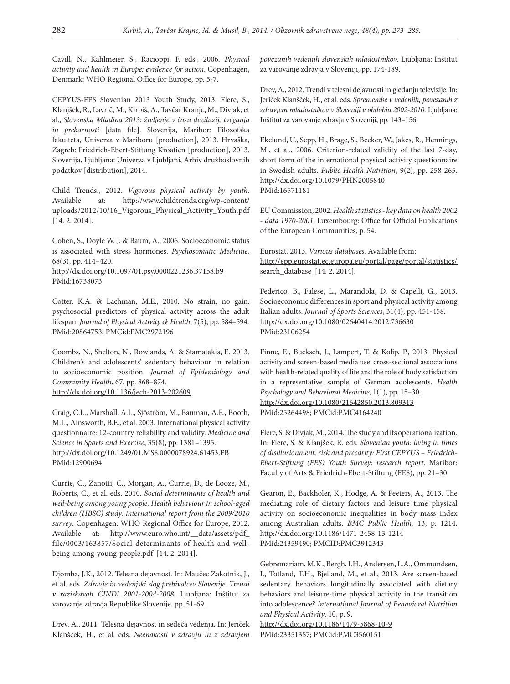Cavill, N., Kahlmeier, S., Racioppi, F. eds., 2006. *Physical activity and health in Europe: evidence for action*. Copenhagen, Denmark: WHO Regional Office for Europe, pp. 5-7.

CEPYUS-FES Slovenian 2013 Youth Study, 2013. Flere, S., Klanjšek, R., Lavrič, M., Kirbiš, A., Tavčar Kranjc, M., Divjak, et al., *Slovenska Mladina 2013: življenje v času deziluzij, tveganja in prekarnosti* [data file]. Slovenija, Maribor: Filozofska fakulteta, Univerza v Mariboru [production], 2013. Hrvaška, Zagreb: Friedrich-Ebert-Stiftung Kroatien [production], 2013. Slovenija, Ljubljana: Univerza v Ljubljani, Arhiv družboslovnih podatkov [distribution], 2014.

Child Trends., 2012. *Vigorous physical activity by youth*. Available at: http://www.childtrends.org/wp-content/ uploads/2012/10/16\_Vigorous\_Physical\_Activity\_Youth.pdf [14. 2. 2014].

Cohen, S., Doyle W. J. & Baum, A., 2006. Socioeconomic status is associated with stress hormones. *Psychosomatic Medicine*, 68(3), pp. 414–420. http://dx.doi.org/10.1097/01.psy.0000221236.37158.b9 PMid:16738073

Cotter, K.A. & Lachman, M.E., 2010. No strain, no gain: psychosocial predictors of physical activity across the adult lifespan. *Journal of Physical Activity & Health*, 7(5), pp. 584–594. PMid:20864753; PMCid:PMC2972196

Coombs, N., Shelton, N., Rowlands, A. & Stamatakis, E. 2013. Children's and adolescents' sedentary behaviour in relation to socioeconomic position. *Journal of Epidemiology and Community Health*, 67, pp. 868–874. http://dx.doi.org/10.1136/jech-2013-202609

Craig, C.L., Marshall, A.L., Sjöström, M., Bauman, A.E., Booth, M.L., Ainsworth, B.E., et al. 2003. International physical activity questionnaire: 12-country reliability and validity. *Medicine and Science in Sports and Exercise*, 35(8), pp. 1381–1395. http://dx.doi.org/10.1249/01.MSS.0000078924.61453.FB PMid:12900694

Currie, C., Zanotti, C., Morgan, A., Currie, D., de Looze, M., Roberts, C., et al. eds. 2010*. Social determinants of health and well-being among young people. Health behaviour in school-aged children (HBSC) study: international report from the 2009/2010 survey*. Copenhagen: WHO Regional Office for Europe, 2012. Available at: http://www.euro.who.int/ data/assets/pdf file/0003/163857/Social-determinants-of-health-and-wellbeing-among-young-people.pdf [14. 2. 2014].

Djomba, J.K., 2012. Telesna dejavnost. In: Maučec Zakotnik, J., et al. eds. *Zdravje in vedenjski slog prebivalcev Slovenije. Trendi v raziskavah CINDI 2001-2004-2008*. Ljubljana: Inštitut za varovanje zdravja Republike Slovenije, pp. 51-69.

Drev, A., 2011. Telesna dejavnost in sedeča vedenja. In: Jeriček Klanšček, H., et al. eds. *Neenakosti v zdravju in z zdravjem* 

*povezanih vedenjih slovenskih mladostnikov*. Ljubljana: Inštitut za varovanje zdravja v Sloveniji, pp. 174-189.

Drev, A., 2012. Trendi v telesni dejavnosti in gledanju televizije. In: Jeriček Klanšček, H., et al. eds. *Spremembe v vedenjih, povezanih z zdravjem mladostnikov v Sloveniji v obdobju 2002-2010.* Ljubljana: Inštitut za varovanje zdravja v Sloveniji, pp. 143–156.

Ekelund, U., Sepp, H., Brage, S., Becker, W., Jakes, R., Hennings, M., et al., 2006. Criterion-related validity of the last 7-day, short form of the international physical activity questionnaire in Swedish adults. *Public Health Nutrition*, 9(2), pp. 258-265. http://dx.doi.org/10.1079/PHN2005840 PMid:16571181

EU Commission, 2002. *Health statistics - key data on health 2002 - data 1970-2001*. Luxembourg: Office for Official Publications of the European Communities, p. 54.

Eurostat, 2013. *Various databases.* Available from: http://epp.eurostat.ec.europa.eu/portal/page/portal/statistics/ search\_database [14. 2. 2014].

Federico, B., Falese, L., Marandola, D. & Capelli, G., 2013. Socioeconomic differences in sport and physical activity among Italian adults. *Journal of Sports Sciences*, 31(4), pp. 451-458. http://dx.doi.org/10.1080/02640414.2012.736630 PMid:23106254

Finne, E., Bucksch, J., Lampert, T. & Kolip, P., 2013. Physical activity and screen-based media use: cross-sectional associations with health-related quality of life and the role of body satisfaction in a representative sample of German adolescents. *Health Psychology and Behavioral Medicine*, 1(1), pp. 15–30. http://dx.doi.org/10.1080/21642850.2013.809313 PMid:25264498; PMCid:PMC4164240

Flere, S. & Divjak, M., 2014. The study and its operationalization. In: Flere, S. & Klanjšek, R. eds. *Slovenian youth: living in times of disillusionment, risk and precarity: First CEPYUS – Friedrich-Ebert-Stiftung (FES) Youth Survey: research report*. Maribor: Faculty of Arts & Friedrich-Ebert-Stiftung (FES), pp. 21–30.

Gearon, E., Backholer, K., Hodge, A. & Peeters, A., 2013. The mediating role of dietary factors and leisure time physical activity on socioeconomic inequalities in body mass index among Australian adults. *BMC Public Health,* 13, p. 1214. http://dx.doi.org/10.1186/1471-2458-13-1214 PMid:24359490; PMCID:PMC3912343

Gebremariam, M.K., Bergh, I.H., Andersen, L.A., Ommundsen, I., Totland, T.H., Bjelland, M., et al., 2013. Are screen-based sedentary behaviors longitudinally associated with dietary behaviors and leisure-time physical activity in the transition into adolescence? *International Journal of Behavioral Nutrition and Physical Activity*, 10, p. 9.

http://dx.doi.org/10.1186/1479-5868-10-9 PMid:23351357; PMCid:PMC3560151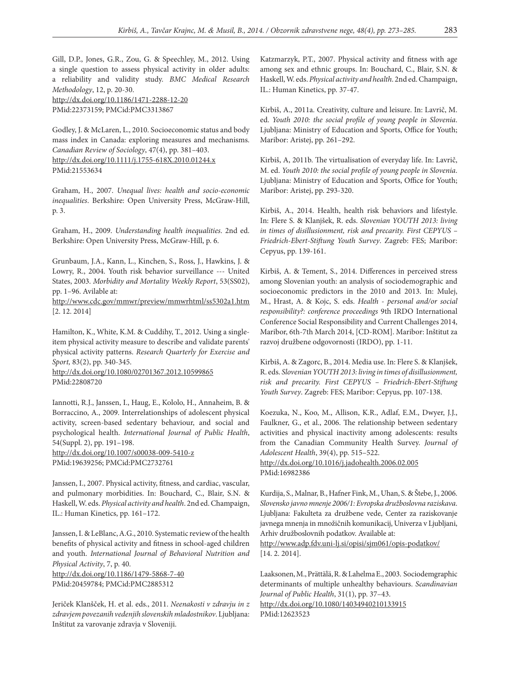Gill, D.P., Jones, G.R., Zou, G. & Speechley, M., 2012. Using a single question to assess physical activity in older adults: a reliability and validity study. *BMC Medical Research Methodology*, 12, p. 20-30. http://dx.doi.org/10.1186/1471-2288-12-20 PMid:22373159; PMCid:PMC3313867

Godley, J. & McLaren, L., 2010. Socioeconomic status and body mass index in Canada: exploring measures and mechanisms. *Canadian Review of Sociology*, 47(4), pp. 381–403. http://dx.doi.org/10.1111/j.1755-618X.2010.01244.x PMid:21553634

Graham, H., 2007. *Unequal lives: health and socio-economic inequalities*. Berkshire: Open University Press, McGraw-Hill, p. 3.

Graham, H., 2009. *Understanding health inequalities*. 2nd ed. Berkshire: Open University Press, McGraw-Hill, p. 6.

Grunbaum, J.A., Kann, L., Kinchen, S., Ross, J., Hawkins, J. & Lowry, R., 2004. Youth risk behavior surveillance --- United States, 2003. *Morbidity and Mortality Weekly Report*, 53(SS02), pp. 1–96. Avilable at:

http://www.cdc.gov/mmwr/preview/mmwrhtml/ss5302a1.htm [2. 12. 2014]

Hamilton, K., White, K.M. & Cuddihy, T., 2012. Using a singleitem physical activity measure to describe and validate parents' physical activity patterns. *Research Quarterly for Exercise and Sport,* 83(2), pp. 340-345.

http://dx.doi.org/10.1080/02701367.2012.10599865 PMid:22808720

Iannotti, R.J., Janssen, I., Haug, E., Kololo, H., Annaheim, B. & Borraccino, A., 2009. Interrelationships of adolescent physical activity, screen-based sedentary behaviour, and social and psychological health. *International Journal of Public Health*, 54(Suppl. 2), pp. 191–198.

http://dx.doi.org/10.1007/s00038-009-5410-z PMid:19639256; PMCid:PMC2732761

Janssen, I., 2007. Physical activity, fitness, and cardiac, vascular, and pulmonary morbidities. In: Bouchard, C., Blair, S.N. & Haskell, W. eds. *Physical activity and health*. 2nd ed. Champaign, IL.: Human Kinetics, pp. 161–172.

Janssen, I. & LeBlanc, A.G., 2010. Systematic review of the health benefits of physical activity and fitness in school-aged children and youth. *International Journal of Behavioral Nutrition and Physical Activity*, 7, p. 40.

http://dx.doi.org/10.1186/1479-5868-7-40 PMid:20459784; PMCid:PMC2885312

Jeriček Klanšček, H. et al. eds., 2011. *Neenakosti v zdravju in z zdravjem povezanih vedenjih slovenskih mladostnikov*. Ljubljana: Inštitut za varovanje zdravja v Sloveniji.

Katzmarzyk, P.T., 2007. Physical activity and fitness with age among sex and ethnic groups. In: Bouchard, C., Blair, S.N. & Haskell, W. eds. *Physical activity and health*. 2nd ed. Champaign, IL.: Human Kinetics, pp. 37-47.

Kirbiš, A., 2011a. Creativity, culture and leisure. In: Lavrič, M. ed. *Youth 2010: the social profile of young people in Slovenia*. Ljubljana: Ministry of Education and Sports, Office for Youth; Maribor: Aristej, pp. 261–292.

Kirbiš, A, 2011b. The virtualisation of everyday life. In: Lavrič, M. ed. *Youth 2010: the social profile of young people in Slovenia*. Ljubljana: Ministry of Education and Sports, Office for Youth; Maribor: Aristej, pp. 293-320.

Kirbiš, A., 2014. Health, health risk behaviors and lifestyle. In: Flere S. & Klanjšek, R. eds. *Slovenian YOUTH 2013: living in times of disillusionment, risk and precarity. First CEPYUS – Friedrich-Ebert-Stiftung Youth Survey*. Zagreb: FES; Maribor: Cepyus, pp. 139-161.

Kirbiš, A. & Tement, S., 2014. Differences in perceived stress among Slovenian youth: an analysis of sociodemographic and socioeconomic predictors in the 2010 and 2013. In: Mulej, M., Hrast, A. & Kojc, S. eds. *Health - personal and/or social responsibility?: conference proceedings* 9th IRDO International Conference Social Responsibility and Current Challenges 2014, Maribor, 6th-7th March 2014, [CD-ROM]. Maribor: Inštitut za razvoj družbene odgovornosti (IRDO), pp. 1-11.

Kirbiš, A. & Zagorc, B., 2014. Media use. In: Flere S. & Klanjšek, R. eds. *Slovenian YOUTH 2013: living in times of disillusionment, risk and precarity. First CEPYUS – Friedrich-Ebert-Stiftung Youth Survey*. Zagreb: FES; Maribor: Cepyus, pp. 107-138.

Koezuka, N., Koo, M., Allison, K.R., Adlaf, E.M., Dwyer, J.J., Faulkner, G., et al., 2006. The relationship between sedentary activities and physical inactivity among adolescents: results from the Canadian Community Health Survey. *Journal of Adolescent Health*, 39(4), pp. 515–522.

http://dx.doi.org/10.1016/j.jadohealth.2006.02.005 PMid:16982386

Kurdija, S., Malnar, B., Hafner Fink, M., Uhan, S. & Štebe, J., 2006. *Slovensko javno mnenje 2006/1: Evropska družboslovna raziskava*. Ljubljana: Fakulteta za družbene vede, Center za raziskovanje javnega mnenja in množičnih komunikacij, Univerza v Ljubljani, Arhiv družboslovnih podatkov. Available at:

http://www.adp.fdv.uni-lj.si/opisi/sjm061/opis-podatkov/ [14. 2. 2014].

Laaksonen, M., Prättälä, R. & Lahelma E., 2003. Sociodemgraphic determinants of multiple unhealthy behaviours. *Scandinavian Journal of Public Health*, 31(1), pp. 37–43.

http://dx.doi.org/10.1080/14034940210133915 PMid:12623523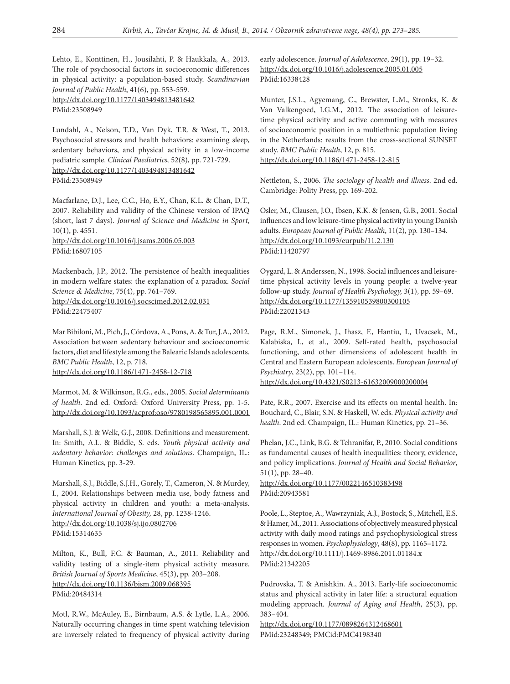Lehto, E., Konttinen, H., Jousilahti, P. & Haukkala, A., 2013. The role of psychosocial factors in socioeconomic differences in physical activity: a population-based study. *Scandinavian Journal of Public Health*, 41(6), pp. 553-559. http://dx.doi.org/10.1177/1403494813481642 PMid:23508949

Lundahl, A., Nelson, T.D., Van Dyk, T.R. & West, T., 2013. Psychosocial stressors and health behaviors: examining sleep, sedentary behaviors, and physical activity in a low-income pediatric sample. *Clinical Paediatrics,* 52(8), pp. 721-729. http://dx.doi.org/10.1177/1403494813481642 PMid:23508949

Macfarlane, D.J., Lee, C.C., Ho, E.Y., Chan, K.L. & Chan, D.T., 2007. Reliability and validity of the Chinese version of IPAQ (short, last 7 days). *Journal of Science and Medicine in Sport*, 10(1), p. 4551. http://dx.doi.org/10.1016/j.jsams.2006.05.003 PMid:16807105

Mackenbach, J.P., 2012. The persistence of health inequalities in modern welfare states: the explanation of a paradox. *Social Science & Medicine*, 75(4), pp. 761–769. http://dx.doi.org/10.1016/j.socscimed.2012.02.031 PMid:22475407

Mar Bibiloni, M., Pich, J., Córdova, A., Pons, A. & Tur, J.A., 2012. Association between sedentary behaviour and socioeconomic factors, diet and lifestyle among the Balearic Islands adolescents. *BMC Public Health*, 12, p. 718. http://dx.doi.org/10.1186/1471-2458-12-718

Marmot, M. & Wilkinson, R.G., eds., 2005. *Social determinants of health*. 2nd ed. Oxford: Oxford University Press, pp. 1-5. http://dx.doi.org/10.1093/acprof:oso/9780198565895.001.0001

Marshall, S.J. & Welk, G.J., 2008. Definitions and measurement. In: Smith, A.L. & Biddle, S. eds. *Youth physical activity and sedentary behavior: challenges and solutions*. Champaign, IL.: Human Kinetics, pp. 3-29.

Marshall, S.J., Biddle, S.J.H., Gorely, T., Cameron, N. & Murdey, I., 2004. Relationships between media use, body fatness and physical activity in children and youth: a meta-analysis. *International Journal of Obesity,* 28, pp. 1238-1246. http://dx.doi.org/10.1038/sj.ijo.0802706 PMid:15314635

Milton, K., Bull, F.C. & Bauman, A., 2011. Reliability and validity testing of a single-item physical activity measure. *British Journal of Sports Medicine*, 45(3), pp. 203–208. http://dx.doi.org/10.1136/bjsm.2009.068395 PMid:20484314

Motl, R.W., McAuley, E., Birnbaum, A.S. & Lytle, L.A., 2006. Naturally occurring changes in time spent watching television are inversely related to frequency of physical activity during

early adolescence. *Journal of Adolescence*, 29(1), pp. 19–32. http://dx.doi.org/10.1016/j.adolescence.2005.01.005 PMid:16338428

Munter, J.S.L., Agyemang, C., Brewster, L.M., Stronks, K. & Van Valkengoed, I.G.M., 2012. The association of leisuretime physical activity and active commuting with measures of socioeconomic position in a multiethnic population living in the Netherlands: results from the cross-sectional SUNSET study. *BMC Public Health*, 12, p. 815. http://dx.doi.org/10.1186/1471-2458-12-815

Nettleton, S., 2006. *The sociology of health and illness*. 2nd ed. Cambridge: Polity Press, pp. 169-202.

Osler, M., Clausen, J.O., Ibsen, K.K. & Jensen, G.B., 2001. Social influences and low leisure-time physical activity in young Danish adults. *European Journal of Public Health*, 11(2), pp. 130–134. http://dx.doi.org/10.1093/eurpub/11.2.130 PMid:11420797

Oygard, L. & Anderssen, N., 1998. Social influences and leisuretime physical activity levels in young people: a twelve-year follow-up study. *Journal of Health Psychology,* 3(1), pp. 59–69. http://dx.doi.org/10.1177/135910539800300105 PMid:22021343

Page, R.M., Simonek, J., Ihasz, F., Hantiu, I., Uvacsek, M., Kalabiska, I., et al., 2009. Self-rated health, psychosocial functioning, and other dimensions of adolescent health in Central and Eastern European adolescents. *European Journal of Psychiatry*, 23(2), pp. 101–114. http://dx.doi.org/10.4321/S0213-61632009000200004

Pate, R.R., 2007. Exercise and its effects on mental health. In: Bouchard, C., Blair, S.N. & Haskell, W. eds. *Physical activity and health*. 2nd ed. Champaign, IL.: Human Kinetics, pp. 21–36.

Phelan, J.C., Link, B.G. & Tehranifar, P., 2010. Social conditions as fundamental causes of health inequalities: theory, evidence, and policy implications. *Journal of Health and Social Behavior*, 51(1), pp. 28–40. http://dx.doi.org/10.1177/0022146510383498

PMid:20943581

Poole, L., Steptoe, A., Wawrzyniak, A.J., Bostock, S., Mitchell, E.S. & Hamer, M., 2011. Associations of objectively measured physical activity with daily mood ratings and psychophysiological stress responses in women. *Psychophysiology*, 48(8), pp. 1165–1172. http://dx.doi.org/10.1111/j.1469-8986.2011.01184.x PMid:21342205

Pudrovska, T. & Anishkin. A., 2013. Early-life socioeconomic status and physical activity in later life: a structural equation modeling approach. *Journal of Aging and Health*, 25(3), pp. 383–404.

http://dx.doi.org/10.1177/0898264312468601 PMid:23248349; PMCid:PMC4198340